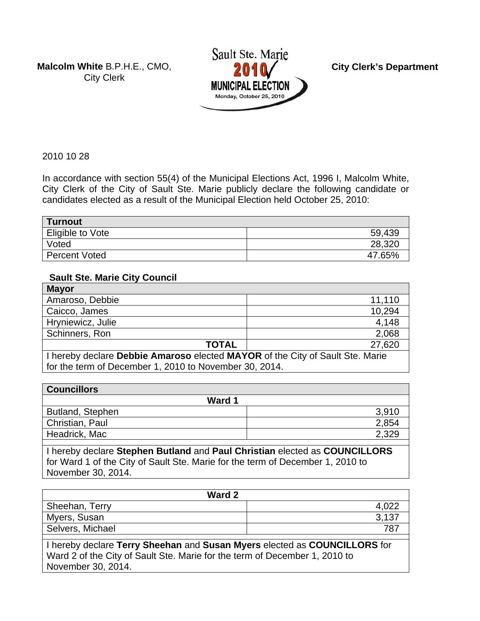**Malcolm White** B.P.H.E., CMO, City Clerk



**City Clerk's Department** 

2010 10 28

In accordance with section 55(4) of the Municipal Elections Act, 1996 I, Malcolm White, City Clerk of the City of Sault Ste. Marie publicly declare the following candidate or candidates elected as a result of the Municipal Election held October 25, 2010:

| <b>Turnout</b>       |        |
|----------------------|--------|
| Eligible to Vote     | 59,439 |
| Voted                | 28,320 |
| <b>Percent Voted</b> | 47.65% |

#### **Sault Ste. Marie City Council**

| <b>Mayor</b>                                                                  |        |
|-------------------------------------------------------------------------------|--------|
| Amaroso, Debbie                                                               | 11,110 |
| Caicco, James                                                                 | 10,294 |
| Hryniewicz, Julie                                                             | 4,148  |
| Schinners, Ron                                                                | 2,068  |
| <b>TOTAL</b><br>27,620                                                        |        |
| I hereby declare Debbie Amaroso elected MAYOR of the City of Sault Ste. Marie |        |

for the term of December 1, 2010 to November 30, 2014.

| <b>Councillors</b> |       |
|--------------------|-------|
| Ward 1             |       |
| Butland, Stephen   | 3,910 |
| Christian, Paul    | 2,854 |
| Headrick, Mac      | 2,329 |
|                    |       |

I hereby declare **Stephen Butland** and **Paul Christian** elected as **COUNCILLORS**  for Ward 1 of the City of Sault Ste. Marie for the term of December 1, 2010 to November 30, 2014.

| Ward 2           |       |
|------------------|-------|
| Sheehan, Terry   | 4,022 |
| Myers, Susan     | 3,137 |
| Selvers, Michael | 787   |
|                  |       |

I hereby declare **Terry Sheehan** and **Susan Myers** elected as **COUNCILLORS** for Ward 2 of the City of Sault Ste. Marie for the term of December 1, 2010 to November 30, 2014.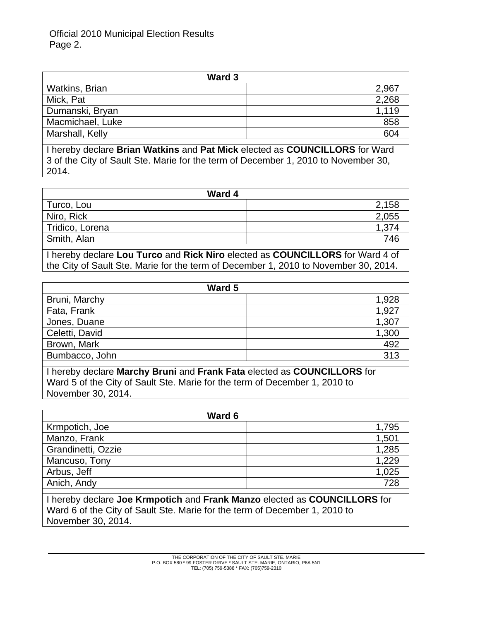Official 2010 Municipal Election Results Page 2.

| Ward 3                |       |
|-----------------------|-------|
| <b>Watkins, Brian</b> | 2,967 |
| Mick, Pat             | 2,268 |
| Dumanski, Bryan       | 1,119 |
| Macmichael, Luke      | 858   |
| Marshall, Kelly       | 604   |

I hereby declare **Brian Watkins** and **Pat Mick** elected as **COUNCILLORS** for Ward 3 of the City of Sault Ste. Marie for the term of December 1, 2010 to November 30, 2014.

| Ward 4          |       |
|-----------------|-------|
| Turco, Lou      | 2,158 |
| Niro, Rick      | 2,055 |
| Tridico, Lorena | 1,374 |
| Smith, Alan     | 746   |
|                 |       |

I hereby declare **Lou Turco** and **Rick Niro** elected as **COUNCILLORS** for Ward 4 of the City of Sault Ste. Marie for the term of December 1, 2010 to November 30, 2014.

| Ward 5         |       |
|----------------|-------|
| Bruni, Marchy  | 1,928 |
| Fata, Frank    | 1,927 |
| Jones, Duane   | 1,307 |
| Celetti, David | 1,300 |
| Brown, Mark    | 492   |
| Bumbacco, John | 313   |
|                |       |

I hereby declare **Marchy Bruni** and **Frank Fata** elected as **COUNCILLORS** for Ward 5 of the City of Sault Ste. Marie for the term of December 1, 2010 to November 30, 2014.

| Ward 6             |       |
|--------------------|-------|
| Krmpotich, Joe     | 1,795 |
| Manzo, Frank       | 1,501 |
| Grandinetti, Ozzie | 1,285 |
| Mancuso, Tony      | 1.229 |
| Arbus, Jeff        | 1,025 |
| Anich, Andy        | 728   |

I hereby declare **Joe Krmpotich** and **Frank Manzo** elected as **COUNCILLORS** for Ward 6 of the City of Sault Ste. Marie for the term of December 1, 2010 to November 30, 2014.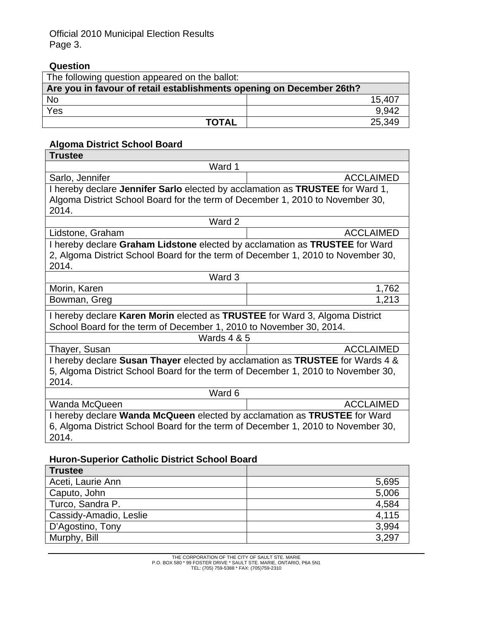### Official 2010 Municipal Election Results Page 3.

# **Question**

| The following question appeared on the ballot:                       |        |
|----------------------------------------------------------------------|--------|
| Are you in favour of retail establishments opening on December 26th? |        |
| <b>No</b>                                                            | 15,407 |
| Yes                                                                  | 9.942  |
| <b>TOTAL</b>                                                         | 25,349 |

# **Algoma District School Board**

| Ward 1<br>Sarlo, Jennifer<br><b>ACCLAIMED</b><br>I hereby declare Jennifer Sarlo elected by acclamation as TRUSTEE for Ward 1,<br>Algoma District School Board for the term of December 1, 2010 to November 30,<br>2014.<br>Ward 2<br><b>ACCLAIMED</b><br>Lidstone, Graham<br>I hereby declare Graham Lidstone elected by acclamation as TRUSTEE for Ward<br>2, Algoma District School Board for the term of December 1, 2010 to November 30,<br>2014.<br>Ward 3<br>Morin, Karen<br>1,762<br>1,213<br>Bowman, Greg<br>I hereby declare Karen Morin elected as TRUSTEE for Ward 3, Algoma District<br>School Board for the term of December 1, 2010 to November 30, 2014. |  |  |
|--------------------------------------------------------------------------------------------------------------------------------------------------------------------------------------------------------------------------------------------------------------------------------------------------------------------------------------------------------------------------------------------------------------------------------------------------------------------------------------------------------------------------------------------------------------------------------------------------------------------------------------------------------------------------|--|--|
|                                                                                                                                                                                                                                                                                                                                                                                                                                                                                                                                                                                                                                                                          |  |  |
|                                                                                                                                                                                                                                                                                                                                                                                                                                                                                                                                                                                                                                                                          |  |  |
|                                                                                                                                                                                                                                                                                                                                                                                                                                                                                                                                                                                                                                                                          |  |  |
|                                                                                                                                                                                                                                                                                                                                                                                                                                                                                                                                                                                                                                                                          |  |  |
|                                                                                                                                                                                                                                                                                                                                                                                                                                                                                                                                                                                                                                                                          |  |  |
|                                                                                                                                                                                                                                                                                                                                                                                                                                                                                                                                                                                                                                                                          |  |  |
|                                                                                                                                                                                                                                                                                                                                                                                                                                                                                                                                                                                                                                                                          |  |  |
|                                                                                                                                                                                                                                                                                                                                                                                                                                                                                                                                                                                                                                                                          |  |  |
|                                                                                                                                                                                                                                                                                                                                                                                                                                                                                                                                                                                                                                                                          |  |  |
|                                                                                                                                                                                                                                                                                                                                                                                                                                                                                                                                                                                                                                                                          |  |  |
|                                                                                                                                                                                                                                                                                                                                                                                                                                                                                                                                                                                                                                                                          |  |  |
|                                                                                                                                                                                                                                                                                                                                                                                                                                                                                                                                                                                                                                                                          |  |  |
|                                                                                                                                                                                                                                                                                                                                                                                                                                                                                                                                                                                                                                                                          |  |  |
|                                                                                                                                                                                                                                                                                                                                                                                                                                                                                                                                                                                                                                                                          |  |  |
|                                                                                                                                                                                                                                                                                                                                                                                                                                                                                                                                                                                                                                                                          |  |  |
| <b>Wards 4 &amp; 5</b>                                                                                                                                                                                                                                                                                                                                                                                                                                                                                                                                                                                                                                                   |  |  |
| <b>ACCLAIMED</b><br>Thayer, Susan                                                                                                                                                                                                                                                                                                                                                                                                                                                                                                                                                                                                                                        |  |  |
| I hereby declare Susan Thayer elected by acclamation as TRUSTEE for Wards 4 &                                                                                                                                                                                                                                                                                                                                                                                                                                                                                                                                                                                            |  |  |
| 5, Algoma District School Board for the term of December 1, 2010 to November 30,                                                                                                                                                                                                                                                                                                                                                                                                                                                                                                                                                                                         |  |  |
| 2014.                                                                                                                                                                                                                                                                                                                                                                                                                                                                                                                                                                                                                                                                    |  |  |
| Ward 6                                                                                                                                                                                                                                                                                                                                                                                                                                                                                                                                                                                                                                                                   |  |  |
| Wanda McQueen<br><b>ACCLAIMED</b>                                                                                                                                                                                                                                                                                                                                                                                                                                                                                                                                                                                                                                        |  |  |
| I hereby declare Wanda McQueen elected by acclamation as TRUSTEE for Ward                                                                                                                                                                                                                                                                                                                                                                                                                                                                                                                                                                                                |  |  |
| 6, Algoma District School Board for the term of December 1, 2010 to November 30,                                                                                                                                                                                                                                                                                                                                                                                                                                                                                                                                                                                         |  |  |
| 2014.                                                                                                                                                                                                                                                                                                                                                                                                                                                                                                                                                                                                                                                                    |  |  |

## **Huron-Superior Catholic District School Board**

| <b>Trustee</b>         |       |
|------------------------|-------|
| Aceti, Laurie Ann      | 5,695 |
| Caputo, John           | 5,006 |
| Turco, Sandra P.       | 4,584 |
| Cassidy-Amadio, Leslie | 4,115 |
| D'Agostino, Tony       | 3,994 |
| Murphy, Bill           | 3,297 |